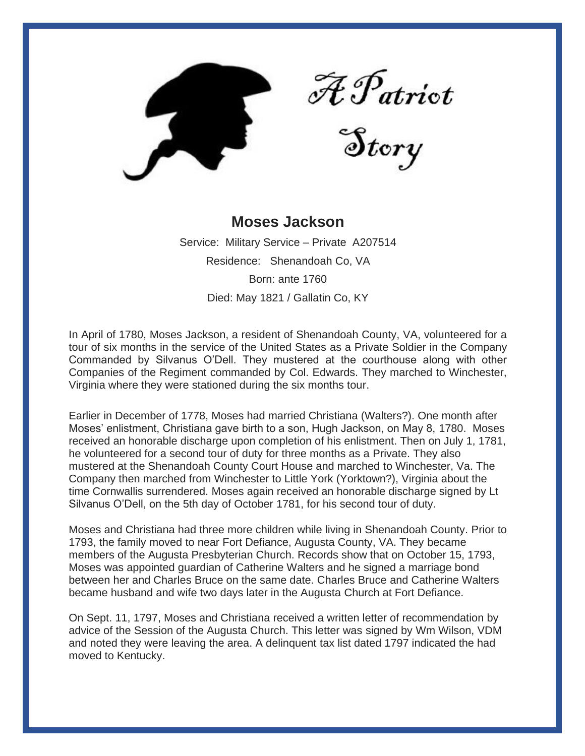

A Patriot<br>Story

## **Moses Jackson**

Service: Military Service – Private A207514 Residence: Shenandoah Co, VA Born: ante 1760 Died: May 1821 / Gallatin Co, KY

In April of 1780, Moses Jackson, a resident of Shenandoah County, VA, volunteered for a tour of six months in the service of the United States as a Private Soldier in the Company Commanded by Silvanus O'Dell. They mustered at the courthouse along with other Companies of the Regiment commanded by Col. Edwards. They marched to Winchester, Virginia where they were stationed during the six months tour.

Earlier in December of 1778, Moses had married Christiana (Walters?). One month after Moses' enlistment, Christiana gave birth to a son, Hugh Jackson, on May 8, 1780. Moses received an honorable discharge upon completion of his enlistment. Then on July 1, 1781, he volunteered for a second tour of duty for three months as a Private. They also mustered at the Shenandoah County Court House and marched to Winchester, Va. The Company then marched from Winchester to Little York (Yorktown?), Virginia about the time Cornwallis surrendered. Moses again received an honorable discharge signed by Lt Silvanus O'Dell, on the 5th day of October 1781, for his second tour of duty.

Moses and Christiana had three more children while living in Shenandoah County. Prior to 1793, the family moved to near Fort Defiance, Augusta County, VA. They became members of the Augusta Presbyterian Church. Records show that on October 15, 1793, Moses was appointed guardian of Catherine Walters and he signed a marriage bond between her and Charles Bruce on the same date. Charles Bruce and Catherine Walters became husband and wife two days later in the Augusta Church at Fort Defiance.

On Sept. 11, 1797, Moses and Christiana received a written letter of recommendation by advice of the Session of the Augusta Church. This letter was signed by Wm Wilson, VDM and noted they were leaving the area. A delinquent tax list dated 1797 indicated the had moved to Kentucky.